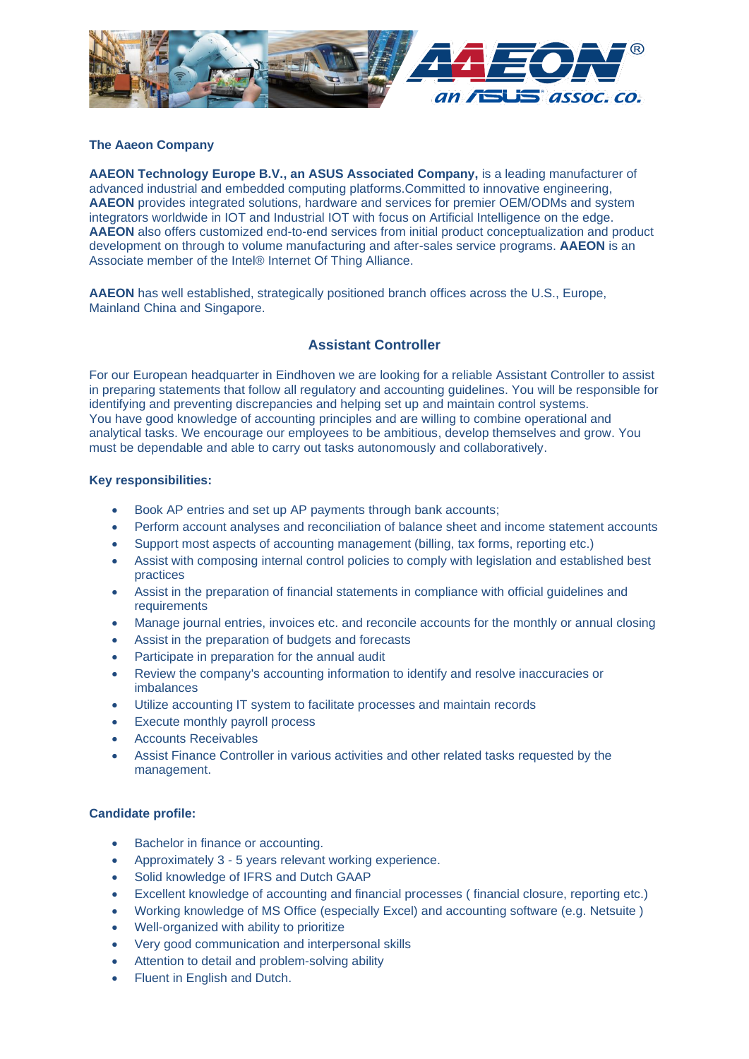

# **The Aaeon Company**

**AAEON Technology Europe B.V., an ASUS Associated Company,** is a leading manufacturer of advanced industrial and embedded computing platforms.Committed to innovative engineering, **AAEON** provides integrated solutions, hardware and services for premier OEM/ODMs and system integrators worldwide in IOT and Industrial IOT with focus on Artificial Intelligence on the edge. **AAEON** also offers customized end-to-end services from initial product conceptualization and product development on through to volume manufacturing and after-sales service programs. **AAEON** is an Associate member of the Intel® Internet Of Thing Alliance.

**AAEON** has well established, strategically positioned branch offices across the U.S., Europe, Mainland China and Singapore.

# **Assistant Controller**

For our European headquarter in Eindhoven we are looking for a reliable Assistant Controller to assist in preparing statements that follow all regulatory and accounting guidelines. You will be responsible for identifying and preventing discrepancies and helping set up and maintain control systems. You have good knowledge of accounting principles and are willing to combine operational and analytical tasks. We encourage our employees to be ambitious, develop themselves and grow. You must be dependable and able to carry out tasks autonomously and collaboratively.

### **Key responsibilities:**

- Book AP entries and set up AP payments through bank accounts;
- Perform account analyses and reconciliation of balance sheet and income statement accounts
- Support most aspects of accounting management (billing, tax forms, reporting etc.)
- Assist with composing internal control policies to comply with legislation and established best practices
- Assist in the preparation of financial statements in compliance with official guidelines and requirements
- Manage journal entries, invoices etc. and reconcile accounts for the monthly or annual closing
- Assist in the preparation of budgets and forecasts
- Participate in preparation for the annual audit
- Review the company's accounting information to identify and resolve inaccuracies or imbalances
- Utilize accounting IT system to facilitate processes and maintain records
- **Execute monthly payroll process**
- Accounts Receivables
- Assist Finance Controller in various activities and other related tasks requested by the management.

# **Candidate profile:**

- Bachelor in finance or accounting.
- Approximately 3 5 years relevant working experience.
- Solid knowledge of IFRS and Dutch GAAP
- Excellent knowledge of accounting and financial processes ( financial closure, reporting etc.)
- Working knowledge of MS Office (especially Excel) and accounting software (e.g. Netsuite )
- Well-organized with ability to prioritize
- Very good communication and interpersonal skills
- Attention to detail and problem-solving ability
- Fluent in English and Dutch.